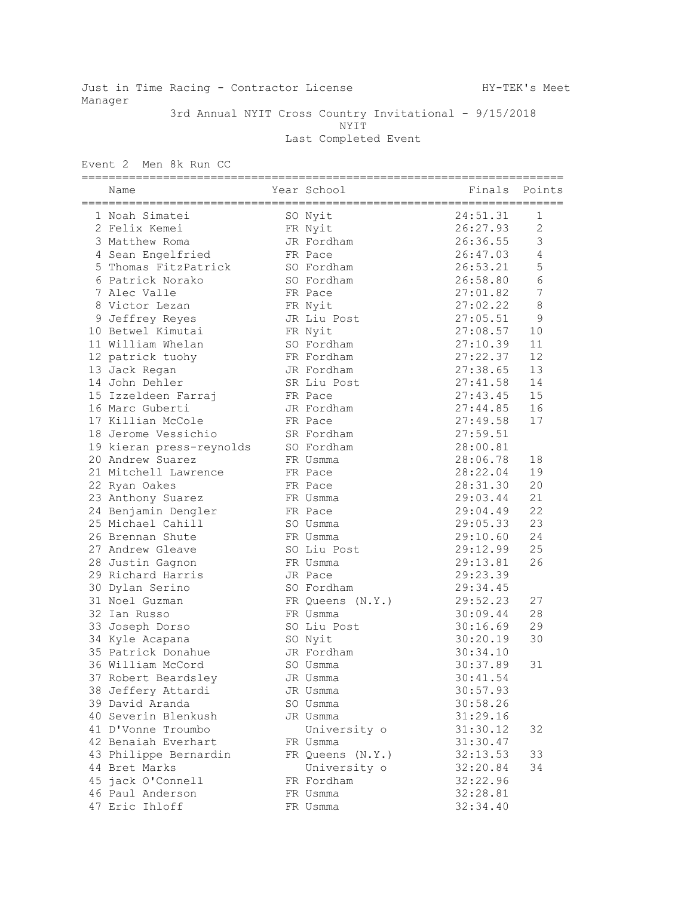Just in Time Racing - Contractor License Manuel HY-TEK's Meet Manager

 3rd Annual NYIT Cross Country Invitational - 9/15/2018 NYIT Last Completed Event

Event 2 Men 8k Run CC

| Name                     | Year School      |          | Finals Points  |
|--------------------------|------------------|----------|----------------|
| 1 Noah Simatei           | SO Nyit          | 24:51.31 | 1              |
| 2 Felix Kemei            | FR Nyit          | 26:27.93 | $\overline{c}$ |
| 3 Matthew Roma           | JR Fordham       | 26:36.55 | 3              |
| 4 Sean Engelfried        | FR Pace          | 26:47.03 | $\sqrt{4}$     |
| 5 Thomas FitzPatrick     | SO Fordham       | 26:53.21 | 5              |
| 6 Patrick Norako         | SO Fordham       | 26:58.80 | $6\,$          |
| 7 Alec Valle             | FR Pace          | 27:01.82 | $\overline{7}$ |
| 8 Victor Lezan           | FR Nyit          | 27:02.22 | 8              |
| 9 Jeffrey Reyes          | JR Liu Post      | 27:05.51 | 9              |
| 10 Betwel Kimutai        | FR Nyit          | 27:08.57 | 10             |
| 11 William Whelan        | SO Fordham       | 27:10.39 | 11             |
| 12 patrick tuohy         | FR Fordham       | 27:22.37 | 12             |
| 13 Jack Regan            | JR Fordham       | 27:38.65 | 13             |
| 14 John Dehler           | SR Liu Post      | 27:41.58 | 14             |
| 15 Izzeldeen Farraj      | FR Pace          | 27:43.45 | 15             |
| 16 Marc Guberti          | JR Fordham       | 27:44.85 | 16             |
| 17 Killian McCole        | FR Pace          | 27:49.58 | 17             |
| 18 Jerome Vessichio      | SR Fordham       | 27:59.51 |                |
| 19 kieran press-reynolds | SO Fordham       | 28:00.81 |                |
| 20 Andrew Suarez         | FR Usmma         | 28:06.78 | 18             |
| 21 Mitchell Lawrence     | FR Pace          | 28:22.04 | 19             |
| 22 Ryan Oakes            | FR Pace          | 28:31.30 | 20             |
| 23 Anthony Suarez        | FR Usmma         | 29:03.44 | 21             |
| 24 Benjamin Dengler      | FR Pace          | 29:04.49 | 22             |
| 25 Michael Cahill        | SO Usmma         | 29:05.33 | 23             |
| 26 Brennan Shute         | FR Usmma         | 29:10.60 | 24             |
| 27 Andrew Gleave         | SO Liu Post      | 29:12.99 | 25             |
| 28 Justin Gagnon         | FR Usmma         | 29:13.81 | 26             |
| 29 Richard Harris        | JR Pace          | 29:23.39 |                |
| 30 Dylan Serino          | SO Fordham       | 29:34.45 |                |
| 31 Noel Guzman           | FR Queens (N.Y.) | 29:52.23 | 27             |
| 32 Ian Russo             | FR Usmma         | 30:09.44 | 28             |
| 33 Joseph Dorso          | SO Liu Post      | 30:16.69 | 29             |
| 34 Kyle Acapana          | SO Nyit          | 30:20.19 | 30             |
| 35 Patrick Donahue       | JR Fordham       | 30:34.10 |                |
| 36 William McCord        | SO Usmma         | 30:37.89 | 31             |
| 37 Robert Beardsley      | JR Usmma         | 30:41.54 |                |
| 38 Jeffery Attardi       | JR Usmma         | 30:57.93 |                |
| 39 David Aranda          | SO Usmma         | 30:58.26 |                |
| 40 Severin Blenkush      | JR Usmma         | 31:29.16 |                |
| 41 D'Vonne Troumbo       | University o     | 31:30.12 | 32             |
| 42 Benaiah Everhart      | FR Usmma         | 31:30.47 |                |
| 43 Philippe Bernardin    | FR Queens (N.Y.) | 32:13.53 | 33             |
| 44 Bret Marks            | University o     | 32:20.84 | 34             |
| 45 jack O'Connell        | FR Fordham       | 32:22.96 |                |
| 46 Paul Anderson         | FR Usmma         | 32:28.81 |                |
| 47 Eric Ihloff           | FR Usmma         | 32:34.40 |                |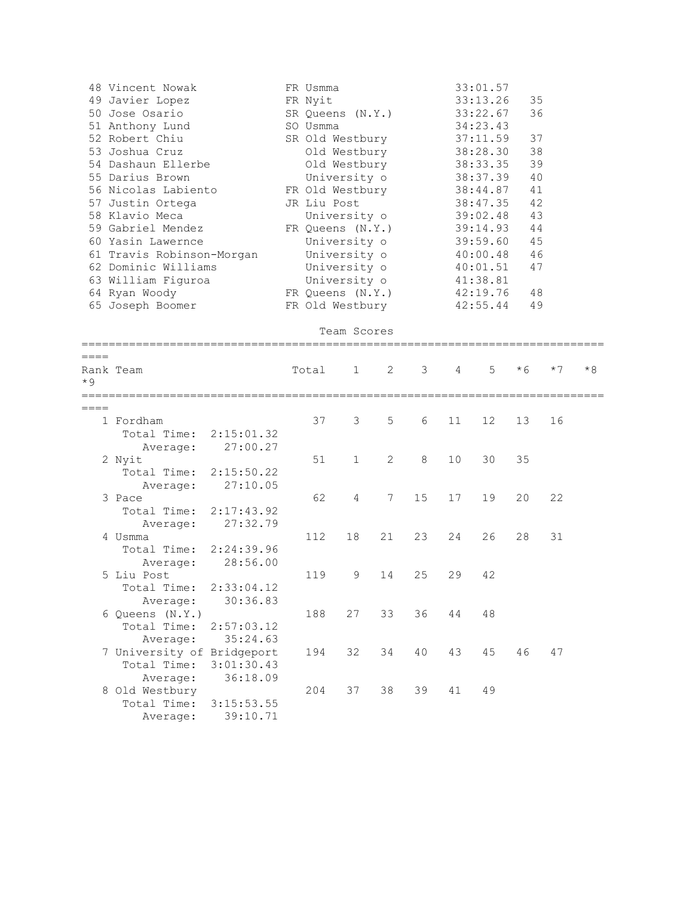|           | 48 Vincent Nowak           | FR Usmma    |                  |    |    |    | 33:01.57 |      |      |      |
|-----------|----------------------------|-------------|------------------|----|----|----|----------|------|------|------|
|           | 49 Javier Lopez            | FR Nyit     |                  |    |    |    | 33:13.26 | 35   |      |      |
|           | 50 Jose Osario             |             | SR Queens (N.Y.) |    |    |    | 33:22.67 | 36   |      |      |
|           | 51 Anthony Lund            | SO Usmma    |                  |    |    |    | 34:23.43 |      |      |      |
|           | 52 Robert Chiu             |             | SR Old Westbury  |    |    |    | 37:11.59 | 37   |      |      |
|           | 53 Joshua Cruz             |             | Old Westbury     |    |    |    | 38:28.30 | 38   |      |      |
|           | 54 Dashaun Ellerbe         |             | Old Westbury     |    |    |    | 38:33.35 | 39   |      |      |
|           | 55 Darius Brown            |             | University o     |    |    |    | 38:37.39 | 40   |      |      |
|           | 56 Nicolas Labiento        |             | FR Old Westbury  |    |    |    | 38:44.87 | 41   |      |      |
|           | 57 Justin Ortega           | JR Liu Post |                  |    |    |    | 38:47.35 | 42   |      |      |
|           | 58 Klavio Meca             |             | University o     |    |    |    | 39:02.48 | 43   |      |      |
|           | 59 Gabriel Mendez          |             | FR Queens (N.Y.) |    |    |    | 39:14.93 | 44   |      |      |
|           | 60 Yasin Lawernce          |             | University o     |    |    |    | 39:59.60 | 45   |      |      |
|           | 61 Travis Robinson-Morgan  |             | University o     |    |    |    | 40:00.48 | 46   |      |      |
|           | 62 Dominic Williams        |             | University o     |    |    |    | 40:01.51 | 47   |      |      |
|           | 63 William Figuroa         |             | University o     |    |    |    | 41:38.81 |      |      |      |
|           | 64 Ryan Woody              |             | FR Queens (N.Y.) |    |    |    | 42:19.76 | 48   |      |      |
|           | 65 Joseph Boomer           |             | FR Old Westbury  |    |    |    | 42:55.44 | 49   |      |      |
|           |                            |             |                  |    |    |    |          |      |      |      |
|           |                            |             | Team Scores      |    |    |    |          |      |      |      |
|           |                            |             |                  |    |    |    |          |      |      |      |
| $====$    |                            |             |                  |    |    |    |          |      |      |      |
|           | Rank Team                  | Total       | 1                | 2  | 3  | 4  | 5        | $*6$ | $*7$ | $*8$ |
| $*9$      |                            |             |                  |    |    |    |          |      |      |      |
|           |                            |             |                  |    |    |    |          |      |      |      |
| $== == =$ |                            |             |                  |    |    |    |          |      |      |      |
|           | 1 Fordham                  | 37          | 3                | 5  | 6  | 11 | 12       | 13   | 16   |      |
|           | Total Time:<br>2:15:01.32  |             |                  |    |    |    |          |      |      |      |
|           | 27:00.27<br>Average:       |             |                  |    |    |    |          |      |      |      |
|           | 2 Nyit                     | 51          | 1                | 2  | 8  | 10 | 30       | 35   |      |      |
|           | Total Time:<br>2:15:50.22  |             |                  |    |    |    |          |      |      |      |
|           | 27:10.05<br>Average:       |             |                  |    |    |    |          |      |      |      |
|           | 3 Pace                     | 62          | 4                | 7  | 15 | 17 | 19       | 20   | 22   |      |
|           | Total Time:<br>2:17:43.92  |             |                  |    |    |    |          |      |      |      |
|           | 27:32.79<br>Average:       |             |                  |    |    |    |          |      |      |      |
|           | 4 Usmma                    | 112         | 18               | 21 | 23 | 24 | 26       | 28   | 31   |      |
|           | Total Time:<br>2:24:39.96  |             |                  |    |    |    |          |      |      |      |
|           | 28:56.00<br>Average:       |             |                  |    |    |    |          |      |      |      |
|           | 5 Liu Post                 | 119         | 9                | 14 | 25 | 29 | 42       |      |      |      |
|           | Total Time: 2:33:04.12     |             |                  |    |    |    |          |      |      |      |
|           | 30:36.83<br>Average:       |             |                  |    |    |    |          |      |      |      |
|           | 6 Queens (N.Y.)            | 188         | 27               | 33 | 36 | 44 | 48       |      |      |      |
|           | Total Time:<br>2:57:03.12  |             |                  |    |    |    |          |      |      |      |
|           | 35:24.63<br>Average:       |             |                  |    |    |    |          |      |      |      |
|           | 7 University of Bridgeport | 194         | 32               | 34 | 40 | 43 | 45       | 46   | 47   |      |
|           | Total Time:<br>3:01:30.43  |             |                  |    |    |    |          |      |      |      |
|           | 36:18.09<br>Average:       |             |                  |    |    |    |          |      |      |      |
|           | 8 Old Westbury             | 204         | 37               | 38 | 39 | 41 | 49       |      |      |      |
|           | Total Time:<br>3:15:53.55  |             |                  |    |    |    |          |      |      |      |
|           | 39:10.71<br>Average:       |             |                  |    |    |    |          |      |      |      |
|           |                            |             |                  |    |    |    |          |      |      |      |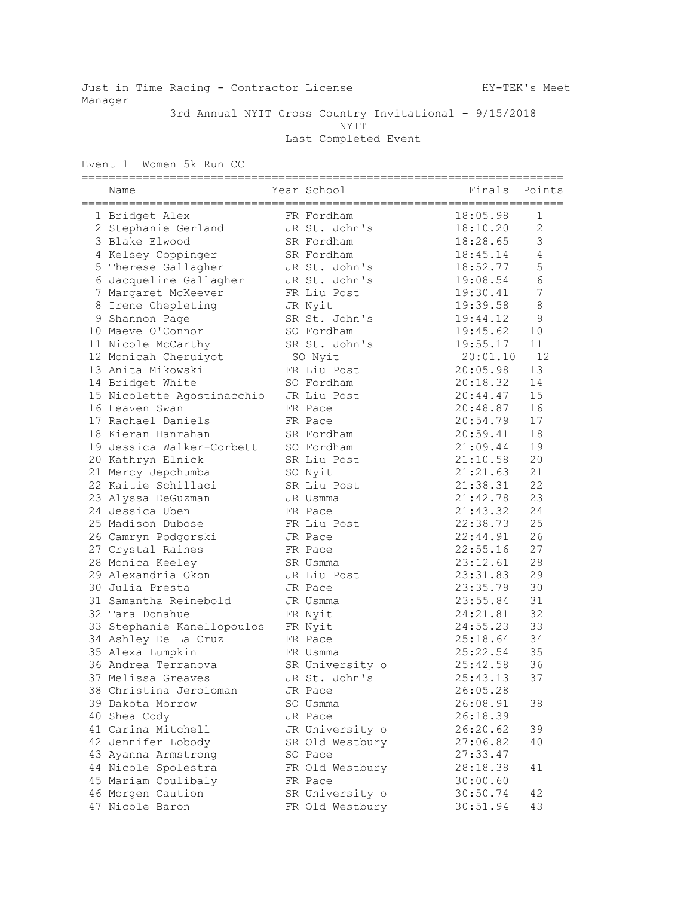Just in Time Racing - Contractor License Manuel HY-TEK's Meet Manager

 3rd Annual NYIT Cross Country Invitational - 9/15/2018 NYIT Last Completed Event

Event 1 Women 5k Run CC

| Name                       | Year School     | Finals   | Points         |
|----------------------------|-----------------|----------|----------------|
| 1 Bridget Alex             | FR Fordham      | 18:05.98 | 1              |
| 2 Stephanie Gerland        | JR St. John's   | 18:10.20 | $\mathbf{2}$   |
| 3 Blake Elwood             | SR Fordham      | 18:28.65 | $\mathfrak{Z}$ |
| 4 Kelsey Coppinger         | SR Fordham      | 18:45.14 | $\overline{4}$ |
| 5 Therese Gallagher        | JR St. John's   | 18:52.77 | 5              |
| 6 Jacqueline Gallagher     | JR St. John's   | 19:08.54 | $6\,$          |
| 7 Margaret McKeever        | FR Liu Post     | 19:30.41 | $\overline{7}$ |
| 8 Irene Chepleting         | JR Nyit         | 19:39.58 | 8              |
| 9 Shannon Page             | SR St. John's   | 19:44.12 | 9              |
| 10 Maeve O'Connor          | SO Fordham      | 19:45.62 | 10             |
| 11 Nicole McCarthy         | SR St. John's   | 19:55.17 | 11             |
| 12 Monicah Cheruiyot       | SO Nyit         | 20:01.10 | 12             |
| 13 Anita Mikowski          | FR Liu Post     | 20:05.98 | 13             |
| 14 Bridget White           | SO Fordham      | 20:18.32 | 14             |
| 15 Nicolette Agostinacchio | JR Liu Post     | 20:44.47 | 15             |
| 16 Heaven Swan             | FR Pace         | 20:48.87 | 16             |
| 17 Rachael Daniels         | FR Pace         | 20:54.79 | 17             |
| 18 Kieran Hanrahan         | SR Fordham      | 20:59.41 | 18             |
| 19 Jessica Walker-Corbett  | SO Fordham      | 21:09.44 | 19             |
| 20 Kathryn Elnick          | SR Liu Post     | 21:10.58 | 20             |
| 21 Mercy Jepchumba         | SO Nyit         | 21:21.63 | 21             |
| 22 Kaitie Schillaci        | SR Liu Post     | 21:38.31 | 22             |
| 23 Alyssa DeGuzman         | JR Usmma        | 21:42.78 | 23             |
| 24 Jessica Uben            | FR Pace         | 21:43.32 | 24             |
| 25 Madison Dubose          | FR Liu Post     | 22:38.73 | 25             |
| 26 Camryn Podgorski        | JR Pace         | 22:44.91 | 26             |
| 27 Crystal Raines          | FR Pace         | 22:55.16 | 27             |
| 28 Monica Keeley           | SR Usmma        | 23:12.61 | 28             |
| 29 Alexandria Okon         | JR Liu Post     | 23:31.83 | 29             |
| 30 Julia Presta            | JR Pace         | 23:35.79 | 30             |
| 31 Samantha Reinebold      | JR Usmma        | 23:55.84 | 31             |
| 32 Tara Donahue            | FR Nyit         | 24:21.81 | 32             |
| 33 Stephanie Kanellopoulos | FR Nyit         | 24:55.23 | 33             |
| 34 Ashley De La Cruz       | FR Pace         | 25:18.64 | 34             |
| 35 Alexa Lumpkin           | FR Usmma        | 25:22.54 | 35             |
| 36 Andrea Terranova        | SR University o | 25:42.58 | 36             |
| 37 Melissa Greaves         | JR St. John's   | 25:43.13 | 37             |
| 38 Christina Jeroloman     | JR Pace         | 26:05.28 |                |
| 39 Dakota Morrow           | SO Usmma        | 26:08.91 | 38             |
| 40 Shea Cody               | JR Pace         | 26:18.39 |                |
| 41 Carina Mitchell         | JR University o | 26:20.62 | 39             |
| 42 Jennifer Lobody         | SR Old Westbury | 27:06.82 | 40             |
| 43 Ayanna Armstrong        | SO Pace         | 27:33.47 |                |
| 44 Nicole Spolestra        | FR Old Westbury | 28:18.38 | 41             |
| 45 Mariam Coulibaly        | FR Pace         | 30:00.60 |                |
| 46 Morgen Caution          | SR University o | 30:50.74 | 42             |
| 47 Nicole Baron            | FR Old Westbury | 30:51.94 | 43             |